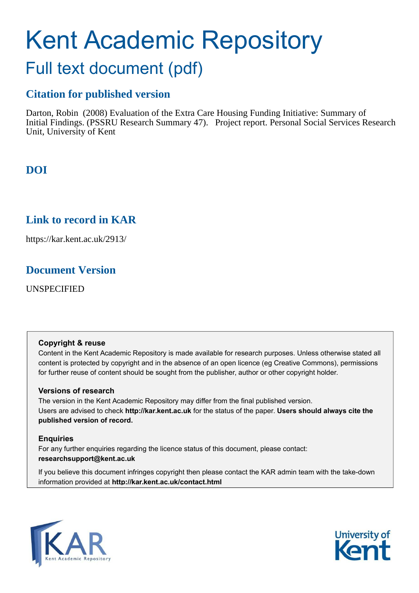# Kent Academic Repository

# Full text document (pdf)

## **Citation for published version**

Darton, Robin (2008) Evaluation of the Extra Care Housing Funding Initiative: Summary of Initial Findings. (PSSRU Research Summary 47). Project report. Personal Social Services Research Unit, University of Kent

## **DOI**

## **Link to record in KAR**

https://kar.kent.ac.uk/2913/

## **Document Version**

UNSPECIFIED

#### **Copyright & reuse**

Content in the Kent Academic Repository is made available for research purposes. Unless otherwise stated all content is protected by copyright and in the absence of an open licence (eg Creative Commons), permissions for further reuse of content should be sought from the publisher, author or other copyright holder.

#### **Versions of research**

The version in the Kent Academic Repository may differ from the final published version. Users are advised to check **http://kar.kent.ac.uk** for the status of the paper. **Users should always cite the published version of record.**

#### **Enquiries**

For any further enquiries regarding the licence status of this document, please contact: **researchsupport@kent.ac.uk**

If you believe this document infringes copyright then please contact the KAR admin team with the take-down information provided at **http://kar.kent.ac.uk/contact.html**



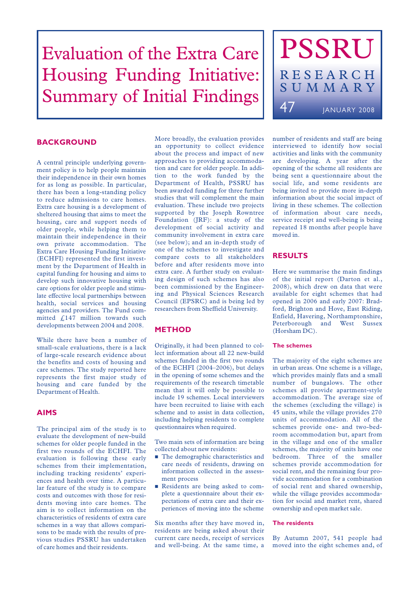# Evaluation of the Extra Care Housing Funding Initiative: Summary of Initial Findings

# PSSRU RESEARCH SUMMARY 47 **JANUARY 2008**

#### **BACKGROUND**

A central principle underlying government policy is to help people maintain their independence in their own homes for as long as possible. In particular, there has been a long-standing policy to reduce admissions to care homes. Extra care housing is a development of sheltered housing that aims to meet the housing, care and support needs of older people, while helping them to maintain their independence in their own private accommodation. The Extra Care Housing Funding Initiative (ECHFI) represented the first investment by the Department of Health in capital funding for housing and aims to develop such innovative housing with care options for older people and stimulate effective local partnerships between health, social services and housing agencies and providers. The Fund committed  $\int_{0}^{1}$  147 million towards such developments between 2004 and 2008.

While there have been a number of small-scale evaluations, there is a lack of large-scale research evidence about the benefits and costs of housing and care schemes. The study reported here represents the first major study of housing and care funded by the Department of Health.

#### **AIMS**

The principal aim of the study is to evaluate the development of new-build schemes for older people funded in the first two rounds of the ECHFI. The evaluation is following these early schemes from their implementation, including tracking residents' experiences and health over time. A particular feature of the study is to compare costs and outcomes with those for residents moving into care homes. The aim is to collect information on the characteristics of residents of extra care schemes in a way that allows comparisons to be made with the results of previous studies PSSRU has undertaken of care homes and their residents.

More broadly, the evaluation provides an opportunity to collect evidence about the process and impact of new approaches to providing accommodation and care for older people. In addition to the work funded by the Department of Health, PSSRU has been awarded funding for three further studies that will complement the main evaluation. These include two projects supported by the Joseph Rowntree Foundation (JRF): a study of the development of social activity and community involvement in extra care (see below); and an in-depth study of one of the schemes to investigate and compare costs to all stakeholders before and after residents move into extra care. A further study on evaluating design of such schemes has also been commissioned by the Engineering and Physical Sciences Research Council (EPSRC) and is being led by researchers from Sheffield University.

#### **METHOD**

Originally, it had been planned to collect information about all 22 new-build schemes funded in the first two rounds of the ECHFI (2004–2006), but delays in the opening of some schemes and the requirements of the research timetable mean that it will only be possible to include 19 schemes. Local interviewers have been recruited to liaise with each scheme and to assist in data collection, including helping residents to complete questionnaires when required.

Two main sets of information are being collected about new residents:

- $\blacksquare$  The demographic characteristics and care needs of residents, drawing on information collected in the assessment process
- - Residents are being asked to complete a questionnaire about their expectations of extra care and their experiences of moving into the scheme

Six months after they have moved in, residents are being asked about their current care needs, receipt of services and well-being. At the same time, a number of residents and staff are being interviewed to identify how social activities and links with the community are developing. A year after the opening of the scheme all residents are being sent a questionnaire about the social life, and some residents are being invited to provide more in-depth information about the social impact of living in these schemes. The collection of information about care needs, service receipt and well-being is being repeated 18 months after people have moved in.

#### **RESULTS**

Here we summarise the main findings of the initial report (Darton et al., 2008), which drew on data that were available for eight schemes that had opened in 2006 and early 2007: Bradford, Brighton and Hove, East Riding, Enfield, Havering, Northamptonshire, Peterborough and West Sussex (Horsham DC).

#### **The schemes**

The majority of the eight schemes are in urban areas. One scheme is a village, which provides mainly flats and a small number of bungalows. The other schemes all provide apartment-style accommodation. The average size of the schemes (excluding the village) is 45 units, while the village provides 270 units of accommodation. All of the schemes provide one- and two-bedroom accommodation but, apart from in the village and one of the smaller schemes, the majority of units have one bedroom. Three of the smaller schemes provide accommodation for social rent, and the remaining four provide accommodation for a combination of social rent and shared ownership, while the village provides accommodation for social and market rent, shared ownership and open market sale.

#### **The residents**

By Autumn 2007, 541 people had moved into the eight schemes and, of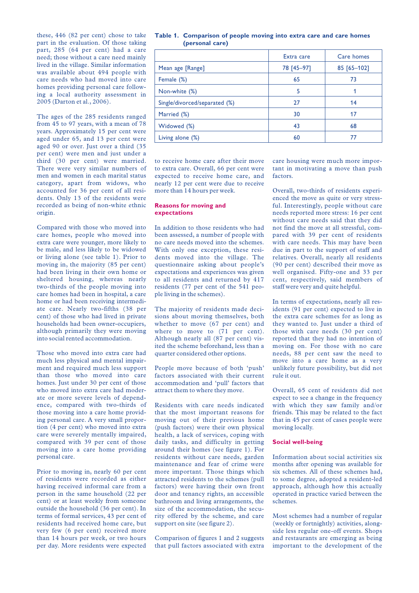these, 446 (82 per cent) chose to take part in the evaluation. Of those taking part, 285 (64 per cent) had a care need; those without a care need mainly lived in the village. Similar information was available about 494 people with care needs who had moved into care homes providing personal care following a local authority assessment in 2005 (Darton et al., 2006).

The ages of the 285 residents ranged from 45 to 97 years, with a mean of 78 years. Approximately 15 per cent were aged under 65, and 13 per cent were aged 90 or over. Just over a third (35 per cent) were men and just under a third (30 per cent) were married. There were very similar numbers of men and women in each marital status category, apart from widows, who accounted for 36 per cent of all residents. Only 13 of the residents were recorded as being of non-white ethnic origin.

Compared with those who moved into care homes, people who moved into extra care were younger, more likely to be male, and less likely to be widowed or living alone (see table 1). Prior to moving in, the majority (85 per cent) had been living in their own home or sheltered housing, whereas nearly two-thirds of the people moving into care homes had been in hospital, a care home or had been receiving intermediate care. Nearly two-fifths (38 per cent) of those who had lived in private households had been owner-occupiers, although primarily they were moving into social rented accommodation.

Those who moved into extra care had much less physical and mental impairment and required much less support than those who moved into care homes. Just under 30 per cent of those who moved into extra care had moderate or more severe levels of dependence, compared with two-thirds of those moving into a care home providing personal care. A very small proportion (4 per cent) who moved into extra care were severely mentally impaired, compared with 39 per cent of those moving into a care home providing personal care.

Prior to moving in, nearly 60 per cent of residents were recorded as either having received informal care from a person in the same household (22 per cent) or at least weekly from someone outside the household (36 per cent). In terms of formal services, 43 per cent of residents had received home care, but very few (6 per cent) received more than 14 hours per week, or two hours per day. More residents were expected

#### **Table 1. Comparison of people moving into extra care and care homes (personal care)**

|                               | Extra care | Care homes  |
|-------------------------------|------------|-------------|
| Mean age [Range]              | 78 [45-97] | 85 [65-102] |
| Female (%)                    | 65         | 73          |
| Non-white (%)                 | 5          |             |
| Single/divorced/separated (%) | 27         | 14          |
| Married (%)                   | 30         | 17          |
| Widowed (%)                   | 43         | 68          |
| Living alone $(\%)$           | 60         |             |

to receive home care after their move to extra care. Overall, 66 per cent were expected to receive home care, and nearly 12 per cent were due to receive more than 14 hours per week.

#### **Reasons for moving and expectations**

In addition to those residents who had been assessed, a number of people with no care needs moved into the schemes. With only one exception, these residents moved into the village. The questionnaire asking about people's expectations and experiences was given to all residents and returned by 417 residents (77 per cent of the 541 people living in the schemes).

The majority of residents made decisions about moving themselves, both whether to move (67 per cent) and where to move to  $(71$  per cent). Although nearly all (87 per cent) visited the scheme beforehand, less than a quarter considered other options.

People move because of both 'push' factors associated with their current accommodation and 'pull' factors that attract them to where they move.

Residents with care needs indicated that the most important reasons for moving out of their previous home (push factors) were their own physical health, a lack of services, coping with daily tasks, and difficulty in getting around their homes (see figure 1). For residents without care needs, garden maintenance and fear of crime were more important. Those things which attracted residents to the schemes (pull factors) were having their own front door and tenancy rights, an accessible bathroom and living arrangements, the size of the accommodation, the security offered by the scheme, and care support on site (see figure 2).

Comparison of figures 1 and 2 suggests that pull factors associated with extra care housing were much more important in motivating a move than push factors.

Overall, two-thirds of residents experienced the move as quite or very stressful. Interestingly, people without care needs reported more stress: 16 per cent without care needs said that they did not find the move at all stressful, compared with 39 per cent of residents with care needs. This may have been due in part to the support of staff and relatives. Overall, nearly all residents (90 per cent) described their move as well organised. Fifty-one and 33 per cent, respectively, said members of staff were very and quite helpful.

In terms of expectations, nearly all residents (91 per cent) expected to live in the extra care schemes for as long as they wanted to. Just under a third of those with care needs (30 per cent) reported that they had no intention of moving on. For those with no care needs, 88 per cent saw the need to move into a care home as a very unlikely future possibility, but did not rule it out.

Overall, 65 cent of residents did not expect to see a change in the frequency with which they saw family and/or friends. This may be related to the fact that in 45 per cent of cases people were moving locally.

#### **Social well-being**

Information about social activities six months after opening was available for six schemes. All of these schemes had, to some degree, adopted a resident-led approach, although how this actually operated in practice varied between the schemes.

Most schemes had a number of regular (weekly or fortnightly) activities, alongside less regular one-off events. Shops and restaurants are emerging as being important to the development of the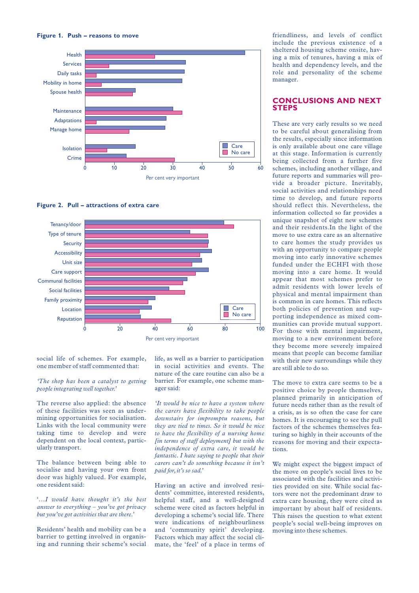

**Figure 2. Pull – attractions of extra care**



social life of schemes. For example, one member of staff commented that:

#### *'The shop has been a catalyst to getting people integrating well together.'*

The reverse also applied: the absence of these facilities was seen as undermining opportunities for socialisation. Links with the local community were taking time to develop and were dependent on the local context, particularly transport.

The balance between being able to socialise and having your own front door was highly valued. For example, one resident said:

'…*I would have thought it's the best answer to everything – you've got privacy but you've got activities that are there.'*

Residents' health and mobility can be a barrier to getting involved in organising and running their scheme's social life, as well as a barrier to participation in social activities and events. The nature of the care routine can also be a barrier. For example, one scheme manager said:

*'It would be nice to have a system where the carers have flexibility to take people downstairs for impromptu reasons, but they are tied to times. So it would be nice to have the flexibility of a nursing home [in terms of staff deployment] but with the independence of extra care, it would be fantastic. I hate saying to people that their carers can't do something because it isn't paid for,it's so sad.'*

Having an active and involved residents' committee, interested residents, helpful staff, and a well-designed scheme were cited as factors helpful in developing a scheme's social life. There were indications of neighbourliness and 'community spirit' developing. Factors which may affect the social climate, the 'feel' of a place in terms of friendliness, and levels of conflict include the previous existence of a sheltered housing scheme onsite, having a mix of tenures, having a mix of health and dependency levels, and the role and personality of the scheme manager.

#### **CONCLUSIONS AND NEXT STEPS**

These are very early results so we need to be careful about generalising from the results, especially since information is only available about one care village at this stage. Information is currently being collected from a further five schemes, including another village, and future reports and summaries will provide a broader picture. Inevitably, social activities and relationships need time to develop, and future reports should reflect this. Nevertheless, the information collected so far provides a unique snapshot of eight new schemes and their residents.In the light of the move to use extra care as an alternative to care homes the study provides us with an opportunity to compare people moving into early innovative schemes funded under the ECHFI with those moving into a care home. It would appear that most schemes prefer to admit residents with lower levels of physical and mental impairment than is common in care homes. This reflects both policies of prevention and supporting independence as mixed communities can provide mutual support. For those with mental impairment, moving to a new environment before they become more severely impaired means that people can become familiar with their new surroundings while they are still able to do so.

The move to extra care seems to be a positive choice by people themselves, planned primarily in anticipation of future needs rather than as the result of a crisis, as is so often the case for care homes. It is encouraging to see the pull factors of the schemes themselves featuring so highly in their accounts of the reasons for moving and their expectations.

We might expect the biggest impact of the move on people's social lives to be associated with the facilities and activities provided on site. While social factors were not the predominant draw to extra care housing, they were cited as important by about half of residents. This raises the question to what extent people's social well-being improves on moving into these schemes.